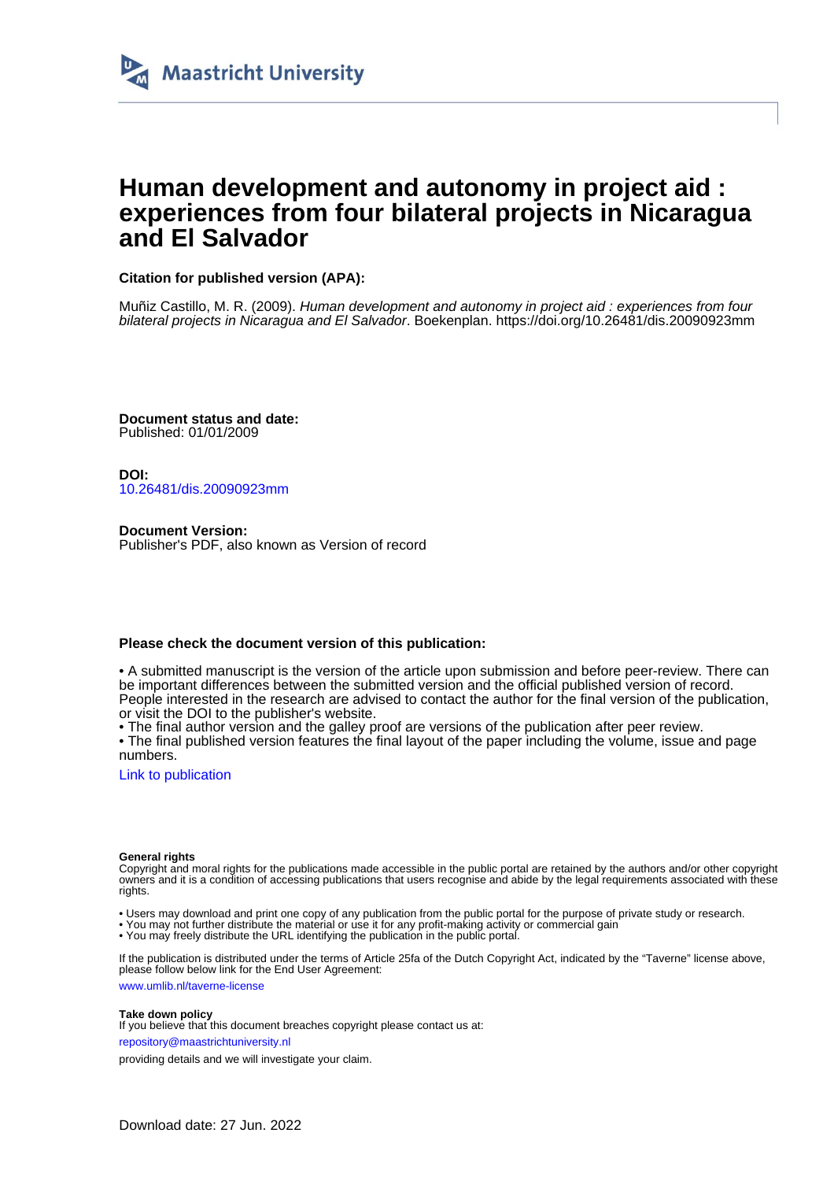

# **Human development and autonomy in project aid : experiences from four bilateral projects in Nicaragua and El Salvador**

# **Citation for published version (APA):**

Muñiz Castillo, M. R. (2009). Human development and autonomy in project aid : experiences from four bilateral projects in Nicaragua and El Salvador. Boekenplan.<https://doi.org/10.26481/dis.20090923mm>

**Document status and date:** Published: 01/01/2009

**DOI:** [10.26481/dis.20090923mm](https://doi.org/10.26481/dis.20090923mm)

**Document Version:** Publisher's PDF, also known as Version of record

### **Please check the document version of this publication:**

• A submitted manuscript is the version of the article upon submission and before peer-review. There can be important differences between the submitted version and the official published version of record. People interested in the research are advised to contact the author for the final version of the publication, or visit the DOI to the publisher's website.

• The final author version and the galley proof are versions of the publication after peer review.

• The final published version features the final layout of the paper including the volume, issue and page numbers.

[Link to publication](https://cris.maastrichtuniversity.nl/en/publications/f239d524-4297-424f-84a7-99711d30851c)

#### **General rights**

Copyright and moral rights for the publications made accessible in the public portal are retained by the authors and/or other copyright owners and it is a condition of accessing publications that users recognise and abide by the legal requirements associated with these rights.

- Users may download and print one copy of any publication from the public portal for the purpose of private study or research.
- You may not further distribute the material or use it for any profit-making activity or commercial gain
- You may freely distribute the URL identifying the publication in the public portal.

If the publication is distributed under the terms of Article 25fa of the Dutch Copyright Act, indicated by the "Taverne" license above, please follow below link for the End User Agreement:

www.umlib.nl/taverne-license

#### **Take down policy**

If you believe that this document breaches copyright please contact us at: repository@maastrichtuniversity.nl

providing details and we will investigate your claim.